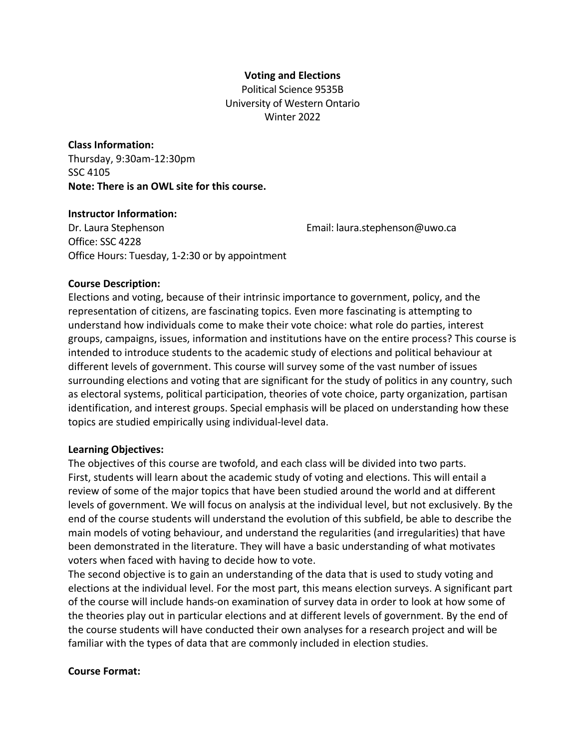#### **Voting and Elections**

Political Science 9535B University of Western Ontario Winter 2022

# **Class Information:** Thursday, 9:30am-12:30pm SSC 4105 **Note: There is an OWL site for this course.**

#### **Instructor Information:**

Dr. Laura Stephenson Email: laura.stephenson@uwo.ca Office: SSC 4228 Office Hours: Tuesday, 1-2:30 or by appointment

#### **Course Description:**

Elections and voting, because of their intrinsic importance to government, policy, and the representation of citizens, are fascinating topics. Even more fascinating is attempting to understand how individuals come to make their vote choice: what role do parties, interest groups, campaigns, issues, information and institutions have on the entire process? This course is intended to introduce students to the academic study of elections and political behaviour at different levels of government. This course will survey some of the vast number of issues surrounding elections and voting that are significant for the study of politics in any country, such as electoral systems, political participation, theories of vote choice, party organization, partisan identification, and interest groups. Special emphasis will be placed on understanding how these topics are studied empirically using individual-level data.

#### **Learning Objectives:**

The objectives of this course are twofold, and each class will be divided into two parts. First, students will learn about the academic study of voting and elections. This will entail a review of some of the major topics that have been studied around the world and at different levels of government. We will focus on analysis at the individual level, but not exclusively. By the end of the course students will understand the evolution of this subfield, be able to describe the main models of voting behaviour, and understand the regularities (and irregularities) that have been demonstrated in the literature. They will have a basic understanding of what motivates voters when faced with having to decide how to vote.

The second objective is to gain an understanding of the data that is used to study voting and elections at the individual level. For the most part, this means election surveys. A significant part of the course will include hands-on examination of survey data in order to look at how some of the theories play out in particular elections and at different levels of government. By the end of the course students will have conducted their own analyses for a research project and will be familiar with the types of data that are commonly included in election studies.

#### **Course Format:**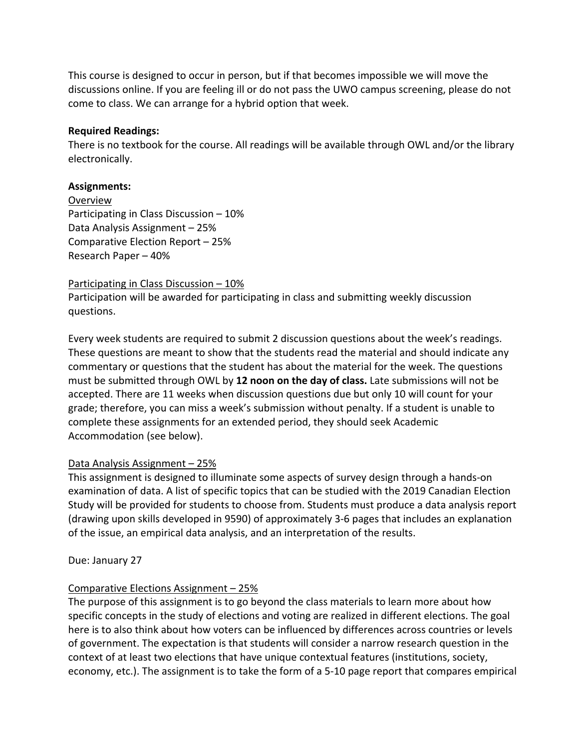This course is designed to occur in person, but if that becomes impossible we will move the discussions online. If you are feeling ill or do not pass the UWO campus screening, please do not come to class. We can arrange for a hybrid option that week.

#### **Required Readings:**

There is no textbook for the course. All readings will be available through OWL and/or the library electronically.

#### **Assignments:**

Overview Participating in Class Discussion – 10% Data Analysis Assignment – 25% Comparative Election Report – 25% Research Paper – 40%

Participating in Class Discussion – 10%

Participation will be awarded for participating in class and submitting weekly discussion questions.

Every week students are required to submit 2 discussion questions about the week's readings. These questions are meant to show that the students read the material and should indicate any commentary or questions that the student has about the material for the week. The questions must be submitted through OWL by **12 noon on the day of class.** Late submissions will not be accepted. There are 11 weeks when discussion questions due but only 10 will count for your grade; therefore, you can miss a week's submission without penalty. If a student is unable to complete these assignments for an extended period, they should seek Academic Accommodation (see below).

#### Data Analysis Assignment – 25%

This assignment is designed to illuminate some aspects of survey design through a hands-on examination of data. A list of specific topics that can be studied with the 2019 Canadian Election Study will be provided for students to choose from. Students must produce a data analysis report (drawing upon skills developed in 9590) of approximately 3-6 pages that includes an explanation of the issue, an empirical data analysis, and an interpretation of the results.

Due: January 27

#### Comparative Elections Assignment – 25%

The purpose of this assignment is to go beyond the class materials to learn more about how specific concepts in the study of elections and voting are realized in different elections. The goal here is to also think about how voters can be influenced by differences across countries or levels of government. The expectation is that students will consider a narrow research question in the context of at least two elections that have unique contextual features (institutions, society, economy, etc.). The assignment is to take the form of a 5-10 page report that compares empirical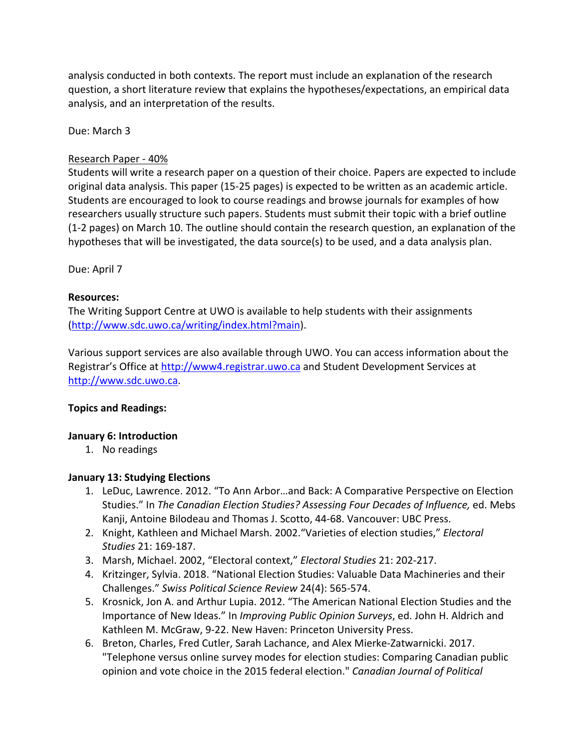analysis conducted in both contexts. The report must include an explanation of the research question, a short literature review that explains the hypotheses/expectations, an empirical data analysis, and an interpretation of the results.

Due: March 3

#### Research Paper - 40%

Students will write a research paper on a question of their choice. Papers are expected to include original data analysis. This paper (15-25 pages) is expected to be written as an academic article. Students are encouraged to look to course readings and browse journals for examples of how researchers usually structure such papers. Students must submit their topic with a brief outline (1-2 pages) on March 10. The outline should contain the research question, an explanation of the hypotheses that will be investigated, the data source(s) to be used, and a data analysis plan.

Due: April 7

#### **Resources:**

The Writing Support Centre at UWO is available to help students with their assignments (http://www.sdc.uwo.ca/writing/index.html?main).

Various support services are also available through UWO. You can access information about the Registrar's Office at http://www4.registrar.uwo.ca and Student Development Services at http://www.sdc.uwo.ca.

## **Topics and Readings:**

#### **January 6: Introduction**

1. No readings

#### **January 13: Studying Elections**

- 1. LeDuc, Lawrence. 2012. "To Ann Arbor…and Back: A Comparative Perspective on Election Studies." In *The Canadian Election Studies? Assessing Four Decades of Influence,* ed. Mebs Kanji, Antoine Bilodeau and Thomas J. Scotto, 44-68. Vancouver: UBC Press.
- 2. Knight, Kathleen and Michael Marsh. 2002."Varieties of election studies," *Electoral Studies* 21: 169-187.
- 3. Marsh, Michael. 2002, "Electoral context," *Electoral Studies* 21: 202-217.
- 4. Kritzinger, Sylvia. 2018. "National Election Studies: Valuable Data Machineries and their Challenges." *Swiss Political Science Review* 24(4): 565-574.
- 5. Krosnick, Jon A. and Arthur Lupia. 2012. "The American National Election Studies and the Importance of New Ideas." In *Improving Public Opinion Surveys*, ed. John H. Aldrich and Kathleen M. McGraw, 9-22. New Haven: Princeton University Press.
- 6. Breton, Charles, Fred Cutler, Sarah Lachance, and Alex Mierke-Zatwarnicki. 2017. "Telephone versus online survey modes for election studies: Comparing Canadian public opinion and vote choice in the 2015 federal election." *Canadian Journal of Political*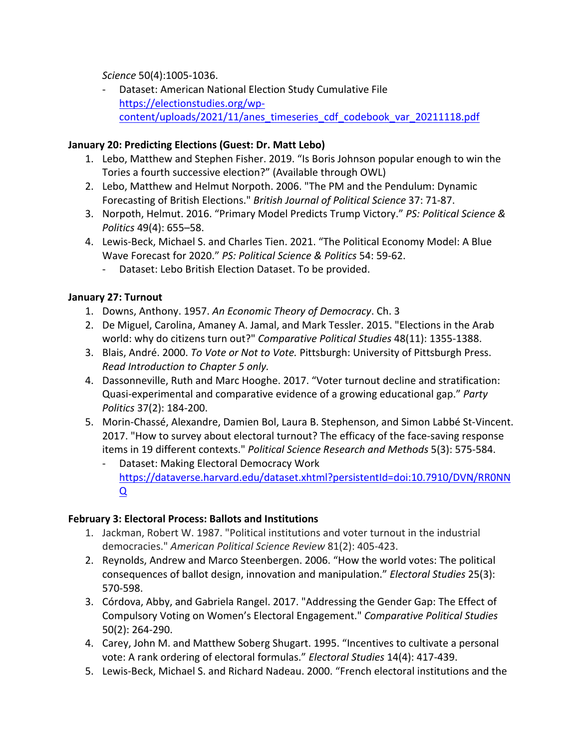*Science* 50(4):1005-1036.

- Dataset: American National Election Study Cumulative File https://electionstudies.org/wpcontent/uploads/2021/11/anes\_timeseries\_cdf\_codebook\_var\_20211118.pdf

## **January 20: Predicting Elections (Guest: Dr. Matt Lebo)**

- 1. Lebo, Matthew and Stephen Fisher. 2019. "Is Boris Johnson popular enough to win the Tories a fourth successive election?" (Available through OWL)
- 2. Lebo, Matthew and Helmut Norpoth. 2006. "The PM and the Pendulum: Dynamic Forecasting of British Elections." *British Journal of Political Science* 37: 71-87.
- 3. Norpoth, Helmut. 2016. "Primary Model Predicts Trump Victory." *PS: Political Science & Politics* 49(4): 655–58.
- 4. Lewis-Beck, Michael S. and Charles Tien. 2021. "The Political Economy Model: A Blue Wave Forecast for 2020." *PS: Political Science & Politics* 54: 59-62.
	- Dataset: Lebo British Election Dataset. To be provided.

## **January 27: Turnout**

- 1. Downs, Anthony. 1957. *An Economic Theory of Democracy*. Ch. 3
- 2. De Miguel, Carolina, Amaney A. Jamal, and Mark Tessler. 2015. "Elections in the Arab world: why do citizens turn out?" *Comparative Political Studies* 48(11): 1355-1388.
- 3. Blais, André. 2000. *To Vote or Not to Vote.* Pittsburgh: University of Pittsburgh Press. *Read Introduction to Chapter 5 only.*
- 4. Dassonneville, Ruth and Marc Hooghe. 2017. "Voter turnout decline and stratification: Quasi-experimental and comparative evidence of a growing educational gap." *Party Politics* 37(2): 184-200.
- 5. Morin-Chassé, Alexandre, Damien Bol, Laura B. Stephenson, and Simon Labbé St-Vincent. 2017. "How to survey about electoral turnout? The efficacy of the face-saving response items in 19 different contexts." *Political Science Research and Methods* 5(3): 575-584.
	- Dataset: Making Electoral Democracy Work https://dataverse.harvard.edu/dataset.xhtml?persistentId=doi:10.7910/DVN/RR0NN Q

## **February 3: Electoral Process: Ballots and Institutions**

- 1. Jackman, Robert W. 1987. "Political institutions and voter turnout in the industrial democracies." *American Political Science Review* 81(2): 405-423.
- 2. Reynolds, Andrew and Marco Steenbergen. 2006. "How the world votes: The political consequences of ballot design, innovation and manipulation." *Electoral Studies* 25(3): 570-598.
- 3. Córdova, Abby, and Gabriela Rangel. 2017. "Addressing the Gender Gap: The Effect of Compulsory Voting on Women's Electoral Engagement." *Comparative Political Studies* 50(2): 264-290.
- 4. Carey, John M. and Matthew Soberg Shugart. 1995. "Incentives to cultivate a personal vote: A rank ordering of electoral formulas." *Electoral Studies* 14(4): 417-439.
- 5. Lewis-Beck, Michael S. and Richard Nadeau. 2000. "French electoral institutions and the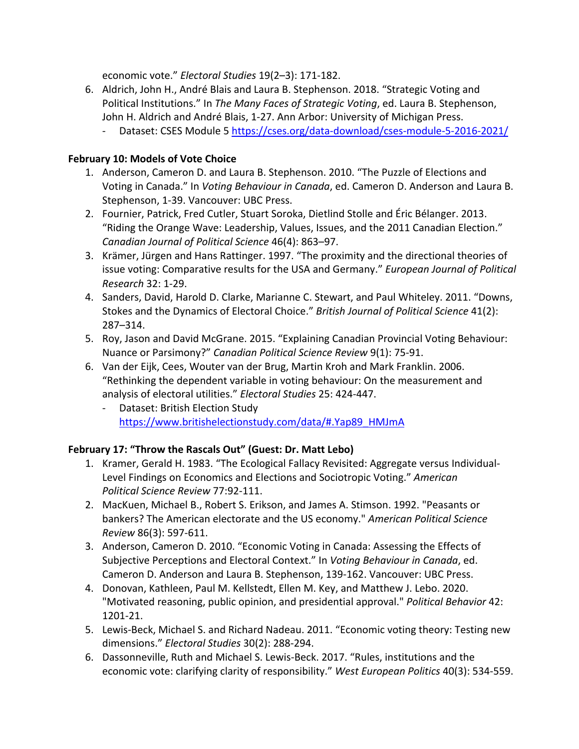economic vote." *Electoral Studies* 19(2–3): 171-182.

- 6. Aldrich, John H., André Blais and Laura B. Stephenson. 2018. "Strategic Voting and Political Institutions." In *The Many Faces of Strategic Voting*, ed. Laura B. Stephenson, John H. Aldrich and André Blais, 1-27. Ann Arbor: University of Michigan Press.
	- Dataset: CSES Module 5 https://cses.org/data-download/cses-module-5-2016-2021/

## **February 10: Models of Vote Choice**

- 1. Anderson, Cameron D. and Laura B. Stephenson. 2010. "The Puzzle of Elections and Voting in Canada." In *Voting Behaviour in Canada*, ed. Cameron D. Anderson and Laura B. Stephenson, 1-39. Vancouver: UBC Press.
- 2. Fournier, Patrick, Fred Cutler, Stuart Soroka, Dietlind Stolle and Éric Bélanger. 2013. "Riding the Orange Wave: Leadership, Values, Issues, and the 2011 Canadian Election." *Canadian Journal of Political Science* 46(4): 863–97.
- 3. Krämer, Jürgen and Hans Rattinger. 1997. "The proximity and the directional theories of issue voting: Comparative results for the USA and Germany." *European Journal of Political Research* 32: 1-29.
- 4. Sanders, David, Harold D. Clarke, Marianne C. Stewart, and Paul Whiteley. 2011. "Downs, Stokes and the Dynamics of Electoral Choice." *British Journal of Political Science* 41(2): 287–314.
- 5. Roy, Jason and David McGrane. 2015. "Explaining Canadian Provincial Voting Behaviour: Nuance or Parsimony?" *Canadian Political Science Review* 9(1): 75-91.
- 6. Van der Eijk, Cees, Wouter van der Brug, Martin Kroh and Mark Franklin. 2006. "Rethinking the dependent variable in voting behaviour: On the measurement and analysis of electoral utilities." *Electoral Studies* 25: 424-447.
	- Dataset: British Election Study https://www.britishelectionstudy.com/data/#.Yap89\_HMJmA

## **February 17: "Throw the Rascals Out" (Guest: Dr. Matt Lebo)**

- 1. Kramer, Gerald H. 1983. "The Ecological Fallacy Revisited: Aggregate versus Individual-Level Findings on Economics and Elections and Sociotropic Voting." *American Political Science Review* 77:92-111.
- 2. MacKuen, Michael B., Robert S. Erikson, and James A. Stimson. 1992. "Peasants or bankers? The American electorate and the US economy." *American Political Science Review* 86(3): 597-611.
- 3. Anderson, Cameron D. 2010. "Economic Voting in Canada: Assessing the Effects of Subjective Perceptions and Electoral Context." In *Voting Behaviour in Canada*, ed. Cameron D. Anderson and Laura B. Stephenson, 139-162. Vancouver: UBC Press.
- 4. Donovan, Kathleen, Paul M. Kellstedt, Ellen M. Key, and Matthew J. Lebo. 2020. "Motivated reasoning, public opinion, and presidential approval." *Political Behavior* 42: 1201-21.
- 5. Lewis-Beck, Michael S. and Richard Nadeau. 2011. "Economic voting theory: Testing new dimensions." *Electoral Studies* 30(2): 288-294.
- 6. Dassonneville, Ruth and Michael S. Lewis-Beck. 2017. "Rules, institutions and the economic vote: clarifying clarity of responsibility." *West European Politics* 40(3): 534-559.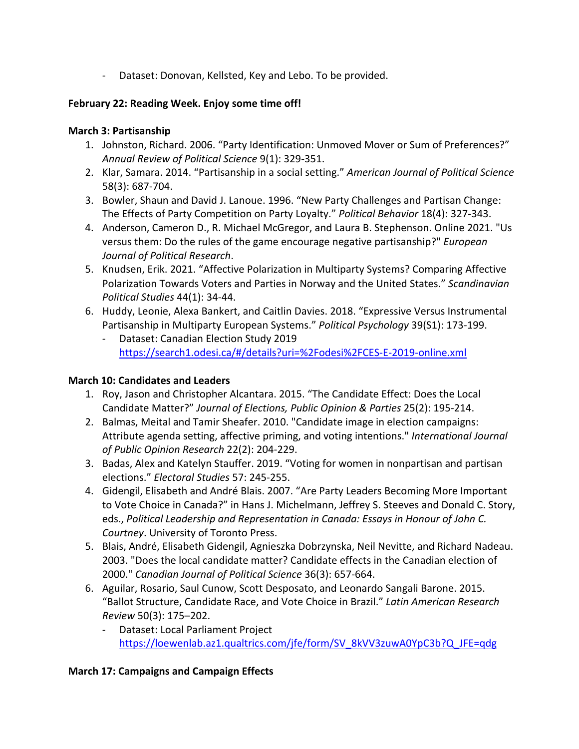- Dataset: Donovan, Kellsted, Key and Lebo. To be provided.

## **February 22: Reading Week. Enjoy some time off!**

## **March 3: Partisanship**

- 1. Johnston, Richard. 2006. "Party Identification: Unmoved Mover or Sum of Preferences?" *Annual Review of Political Science* 9(1): 329-351.
- 2. Klar, Samara. 2014. "Partisanship in a social setting." *American Journal of Political Science* 58(3): 687-704.
- 3. Bowler, Shaun and David J. Lanoue. 1996. "New Party Challenges and Partisan Change: The Effects of Party Competition on Party Loyalty." *Political Behavior* 18(4): 327-343.
- 4. Anderson, Cameron D., R. Michael McGregor, and Laura B. Stephenson. Online 2021. "Us versus them: Do the rules of the game encourage negative partisanship?" *European Journal of Political Research*.
- 5. Knudsen, Erik. 2021. "Affective Polarization in Multiparty Systems? Comparing Affective Polarization Towards Voters and Parties in Norway and the United States." *Scandinavian Political Studies* 44(1): 34-44.
- 6. Huddy, Leonie, Alexa Bankert, and Caitlin Davies. 2018. "Expressive Versus Instrumental Partisanship in Multiparty European Systems." *Political Psychology* 39(S1): 173-199.
	- Dataset: Canadian Election Study 2019 https://search1.odesi.ca/#/details?uri=%2Fodesi%2FCES-E-2019-online.xml

# **March 10: Candidates and Leaders**

- 1. Roy, Jason and Christopher Alcantara. 2015. "The Candidate Effect: Does the Local Candidate Matter?" *Journal of Elections, Public Opinion & Parties* 25(2): 195-214.
- 2. Balmas, Meital and Tamir Sheafer. 2010. "Candidate image in election campaigns: Attribute agenda setting, affective priming, and voting intentions." *International Journal of Public Opinion Research* 22(2): 204-229.
- 3. Badas, Alex and Katelyn Stauffer. 2019. "Voting for women in nonpartisan and partisan elections." *Electoral Studies* 57: 245-255.
- 4. Gidengil, Elisabeth and André Blais. 2007. "Are Party Leaders Becoming More Important to Vote Choice in Canada?" in Hans J. Michelmann, Jeffrey S. Steeves and Donald C. Story, eds., *Political Leadership and Representation in Canada: Essays in Honour of John C. Courtney*. University of Toronto Press.
- 5. Blais, André, Elisabeth Gidengil, Agnieszka Dobrzynska, Neil Nevitte, and Richard Nadeau. 2003. "Does the local candidate matter? Candidate effects in the Canadian election of 2000." *Canadian Journal of Political Science* 36(3): 657-664.
- 6. Aguilar, Rosario, Saul Cunow, Scott Desposato, and Leonardo Sangali Barone. 2015. "Ballot Structure, Candidate Race, and Vote Choice in Brazil." *Latin American Research Review* 50(3): 175–202.
	- Dataset: Local Parliament Project https://loewenlab.az1.qualtrics.com/jfe/form/SV\_8kVV3zuwA0YpC3b?Q\_JFE=qdg

# **March 17: Campaigns and Campaign Effects**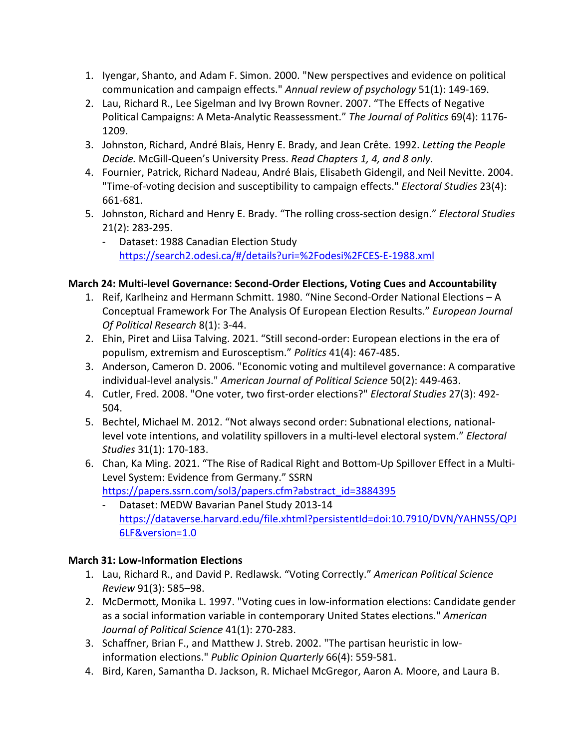- 1. Iyengar, Shanto, and Adam F. Simon. 2000. "New perspectives and evidence on political communication and campaign effects." *Annual review of psychology* 51(1): 149-169.
- 2. Lau, Richard R., Lee Sigelman and Ivy Brown Rovner. 2007. "The Effects of Negative Political Campaigns: A Meta-Analytic Reassessment." *The Journal of Politics* 69(4): 1176- 1209.
- 3. Johnston, Richard, André Blais, Henry E. Brady, and Jean Crête. 1992. *Letting the People Decide.* McGill-Queen's University Press. *Read Chapters 1, 4, and 8 only.*
- 4. Fournier, Patrick, Richard Nadeau, André Blais, Elisabeth Gidengil, and Neil Nevitte. 2004. "Time-of-voting decision and susceptibility to campaign effects." *Electoral Studies* 23(4): 661-681.
- 5. Johnston, Richard and Henry E. Brady. "The rolling cross-section design." *Electoral Studies* 21(2): 283-295.
	- Dataset: 1988 Canadian Election Study https://search2.odesi.ca/#/details?uri=%2Fodesi%2FCES-E-1988.xml

# **March 24: Multi-level Governance: Second-Order Elections, Voting Cues and Accountability**

- 1. Reif, Karlheinz and Hermann Schmitt. 1980. "Nine Second-Order National Elections A Conceptual Framework For The Analysis Of European Election Results." *European Journal Of Political Research* 8(1): 3-44.
- 2. Ehin, Piret and Liisa Talving. 2021. "Still second-order: European elections in the era of populism, extremism and Eurosceptism." *Politics* 41(4): 467-485.
- 3. Anderson, Cameron D. 2006. "Economic voting and multilevel governance: A comparative individual-level analysis." *American Journal of Political Science* 50(2): 449-463.
- 4. Cutler, Fred. 2008. "One voter, two first-order elections?" *Electoral Studies* 27(3): 492- 504.
- 5. Bechtel, Michael M. 2012. "Not always second order: Subnational elections, nationallevel vote intentions, and volatility spillovers in a multi-level electoral system." *Electoral Studies* 31(1): 170-183.
- 6. Chan, Ka Ming. 2021. "The Rise of Radical Right and Bottom-Up Spillover Effect in a Multi-Level System: Evidence from Germany." SSRN https://papers.ssrn.com/sol3/papers.cfm?abstract\_id=3884395
	- Dataset: MEDW Bavarian Panel Study 2013-14 https://dataverse.harvard.edu/file.xhtml?persistentId=doi:10.7910/DVN/YAHN5S/QPJ 6LF&version=1.0

## **March 31: Low-Information Elections**

- 1. Lau, Richard R., and David P. Redlawsk. "Voting Correctly." *American Political Science Review* 91(3): 585–98.
- 2. McDermott, Monika L. 1997. "Voting cues in low-information elections: Candidate gender as a social information variable in contemporary United States elections." *American Journal of Political Science* 41(1): 270-283.
- 3. Schaffner, Brian F., and Matthew J. Streb. 2002. "The partisan heuristic in lowinformation elections." *Public Opinion Quarterly* 66(4): 559-581.
- 4. Bird, Karen, Samantha D. Jackson, R. Michael McGregor, Aaron A. Moore, and Laura B.